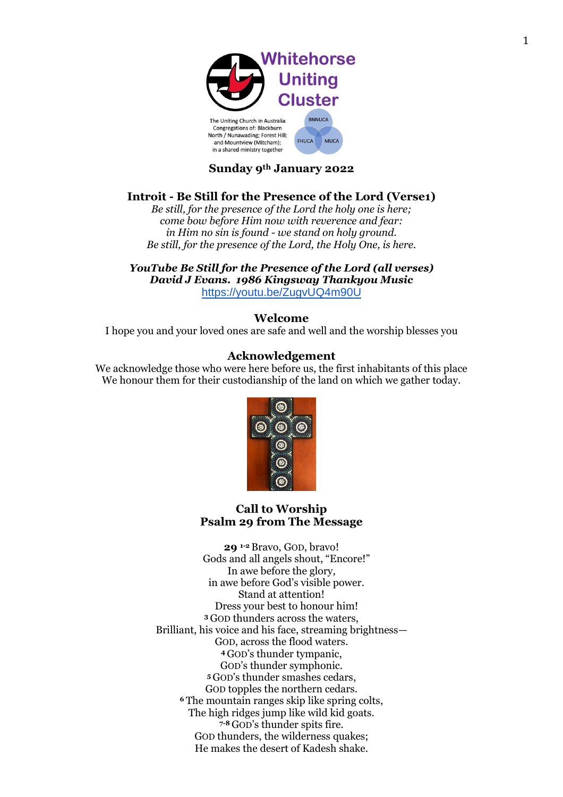

**Sunday 9th January 2022**

# **Introit - Be Still for the Presence of the Lord (Verse1)**

*Be still, for the presence of the Lord the holy one is here; come bow before Him now with reverence and fear: in Him no sin is found - we stand on holy ground. Be still, for the presence of the Lord, the Holy One, is here.*

*YouTube Be Still for the Presence of the Lord (all verses) David J Evans. 1986 Kingsway Thankyou Music* <https://youtu.be/ZugvUQ4m90U>

### **Welcome**

I hope you and your loved ones are safe and well and the worship blesses you

## **Acknowledgement**

We acknowledge those who were here before us, the first inhabitants of this place We honour them for their custodianship of the land on which we gather today.



## **Call to Worship Psalm 29 from The Message**

**29 1-2**Bravo, GOD, bravo! Gods and all angels shout, "Encore!" In awe before the glory, in awe before God's visible power. Stand at attention! Dress your best to honour him! **<sup>3</sup>** GOD thunders across the waters, Brilliant, his voice and his face, streaming brightness— GOD, across the flood waters. **<sup>4</sup>** GOD's thunder tympanic, GOD's thunder symphonic. **<sup>5</sup>** GOD's thunder smashes cedars, GOD topples the northern cedars. **<sup>6</sup>** The mountain ranges skip like spring colts, The high ridges jump like wild kid goats. **7-8** GOD's thunder spits fire. GOD thunders, the wilderness quakes; He makes the desert of Kadesh shake.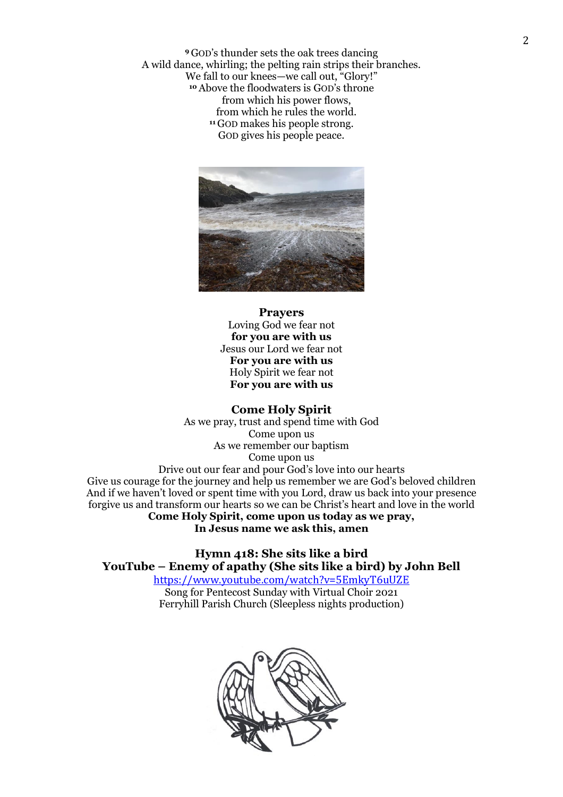**<sup>9</sup>** GOD's thunder sets the oak trees dancing A wild dance, whirling; the pelting rain strips their branches. We fall to our knees—we call out, "Glory!" **<sup>10</sup>** Above the floodwaters is GOD's throne from which his power flows, from which he rules the world. **<sup>11</sup>** GOD makes his people strong. GOD gives his people peace.



#### **Prayers**

Loving God we fear not **for you are with us** Jesus our Lord we fear not **For you are with us**  Holy Spirit we fear not **For you are with us**

**Come Holy Spirit**

As we pray, trust and spend time with God Come upon us As we remember our baptism Come upon us Drive out our fear and pour God's love into our hearts Give us courage for the journey and help us remember we are God's beloved children And if we haven't loved or spent time with you Lord, draw us back into your presence forgive us and transform our hearts so we can be Christ's heart and love in the world **Come Holy Spirit, come upon us today as we pray, In Jesus name we ask this, amen**

**Hymn 418: She sits like a bird YouTube – Enemy of apathy (She sits like a bird) by John Bell**

<https://www.youtube.com/watch?v=5EmkyT6uUZE> Song for Pentecost Sunday with Virtual Choir 2021 Ferryhill Parish Church (Sleepless nights production)

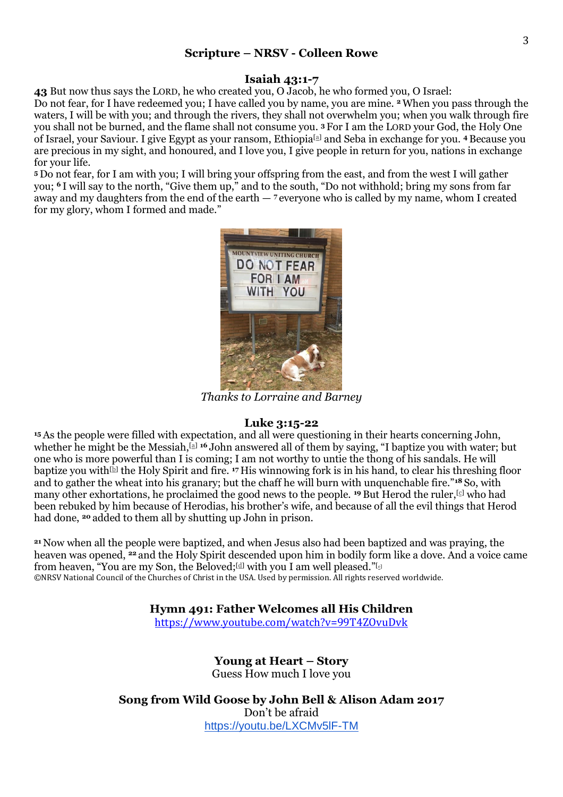### **Scripture – NRSV - Colleen Rowe**

#### **Isaiah 43:1-7**

**43** But now thus says the LORD, he who created you, O Jacob, he who formed you, O Israel: Do not fear, for I have redeemed you; I have called you by name, you are mine. **<sup>2</sup>**When you pass through the waters, I will be with you; and through the rivers, they shall not overwhelm you; when you walk through fire you shall not be burned, and the flame shall not consume you. **<sup>3</sup>** For I am the LORD your God, the Holy One of Israel, your Saviour. I give Egypt as your ransom, Ethiopia[\[a\]](https://www.biblegateway.com/passage/?search=Isaiah+43%3A1-7&version=NRSV#fen-NRSV-18509a) and Seba in exchange for you. **<sup>4</sup>** Because you are precious in my sight, and honoured, and I love you, I give people in return for you, nations in exchange for your life.

**<sup>5</sup>** Do not fear, for I am with you; I will bring your offspring from the east, and from the west I will gather you; **<sup>6</sup>** I will say to the north, "Give them up," and to the south, "Do not withhold; bring my sons from far away and my daughters from the end of the earth — **<sup>7</sup>** everyone who is called by my name, whom I created for my glory, whom I formed and made."



*Thanks to Lorraine and Barney* 

#### **Luke 3:15-22**

**<sup>15</sup>**As the people were filled with expectation, and all were questioning in their hearts concerning John, whether he might be the Messiah,[\[a\]](https://www.biblegateway.com/passage/?search=Luke+3%3A15-22&version=NRSV#fen-NRSV-25033a) **<sup>16</sup>** John answered all of them by saying, "I baptize you with water; but one who is more powerful than I is coming; I am not worthy to untie the thong of his sandals. He will baptize you with[\[b\]](https://www.biblegateway.com/passage/?search=Luke+3%3A15-22&version=NRSV#fen-NRSV-25034b) the Holy Spirit and fire. **<sup>17</sup>** His winnowing fork is in his hand, to clear his threshing floor and to gather the wheat into his granary; but the chaff he will burn with unquenchable fire."**<sup>18</sup>** So, with many other exhortations, he proclaimed the good news to the people. <sup>19</sup> But Herod the ruler, <sup>[\[c\]](https://www.biblegateway.com/passage/?search=Luke+3%3A15-22&version=NRSV#fen-NRSV-25037c)</sup> who had been rebuked by him because of Herodias, his brother's wife, and because of all the evil things that Herod had done, **<sup>20</sup>** added to them all by shutting up John in prison.

**<sup>21</sup>** Now when all the people were baptized, and when Jesus also had been baptized and was praying, the heaven was opened, **<sup>22</sup>** and the Holy Spirit descended upon him in bodily form like a dove. And a voice came from heaven, "You are my Son, the Beloved;<sup>[\[d\]](https://www.biblegateway.com/passage/?search=Luke+3%3A15-22&version=NRSV#fen-NRSV-25040d)</sup> with you I am well pleased."<sup>[d]</sup> ©NRSV National Council of the Churches of Christ in the USA. Used by permission. All rights reserved worldwide.

## **Hymn 491: Father Welcomes all His Children**

<https://www.youtube.com/watch?v=99T4ZOvuDvk>

**Young at Heart – Story**  Guess How much I love you

**Song from Wild Goose by John Bell & Alison Adam 2017** Don't be afraid <https://youtu.be/LXCMv5lF-TM>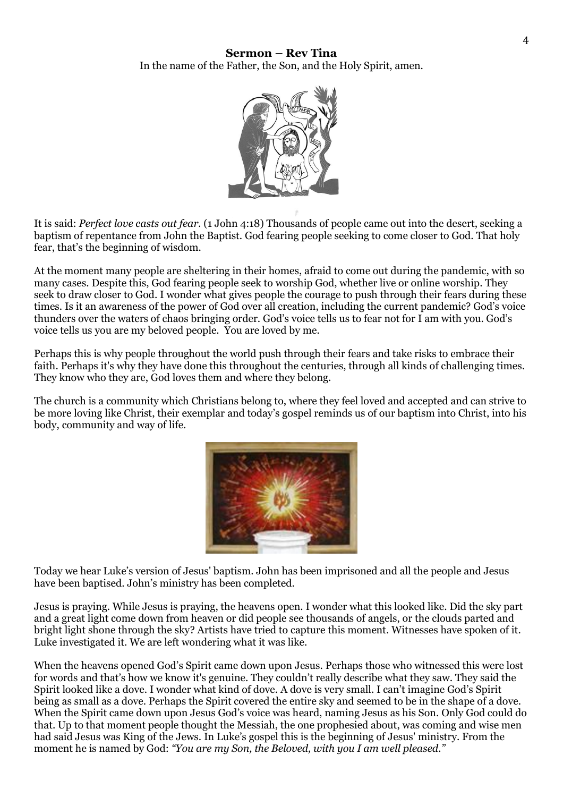### **Sermon – Rev Tina** In the name of the Father, the Son, and the Holy Spirit, amen.



It is said: *Perfect love casts out fear.* (1 John 4:18) Thousands of people came out into the desert, seeking a baptism of repentance from John the Baptist. God fearing people seeking to come closer to God. That holy fear, that's the beginning of wisdom.

At the moment many people are sheltering in their homes, afraid to come out during the pandemic, with so many cases. Despite this, God fearing people seek to worship God, whether live or online worship. They seek to draw closer to God. I wonder what gives people the courage to push through their fears during these times. Is it an awareness of the power of God over all creation, including the current pandemic? God's voice thunders over the waters of chaos bringing order. God's voice tells us to fear not for I am with you. God's voice tells us you are my beloved people. You are loved by me.

Perhaps this is why people throughout the world push through their fears and take risks to embrace their faith. Perhaps it's why they have done this throughout the centuries, through all kinds of challenging times. They know who they are, God loves them and where they belong.

The church is a community which Christians belong to, where they feel loved and accepted and can strive to be more loving like Christ, their exemplar and today's gospel reminds us of our baptism into Christ, into his body, community and way of life.



Today we hear Luke's version of Jesus' baptism. John has been imprisoned and all the people and Jesus have been baptised. John's ministry has been completed.

Jesus is praying. While Jesus is praying, the heavens open. I wonder what this looked like. Did the sky part and a great light come down from heaven or did people see thousands of angels, or the clouds parted and bright light shone through the sky? Artists have tried to capture this moment. Witnesses have spoken of it. Luke investigated it. We are left wondering what it was like.

When the heavens opened God's Spirit came down upon Jesus. Perhaps those who witnessed this were lost for words and that's how we know it's genuine. They couldn't really describe what they saw. They said the Spirit looked like a dove. I wonder what kind of dove. A dove is very small. I can't imagine God's Spirit being as small as a dove. Perhaps the Spirit covered the entire sky and seemed to be in the shape of a dove. When the Spirit came down upon Jesus God's voice was heard, naming Jesus as his Son. Only God could do that. Up to that moment people thought the Messiah, the one prophesied about, was coming and wise men had said Jesus was King of the Jews. In Luke's gospel this is the beginning of Jesus' ministry. From the moment he is named by God: *"You are my Son, the Beloved, with you I am well pleased."*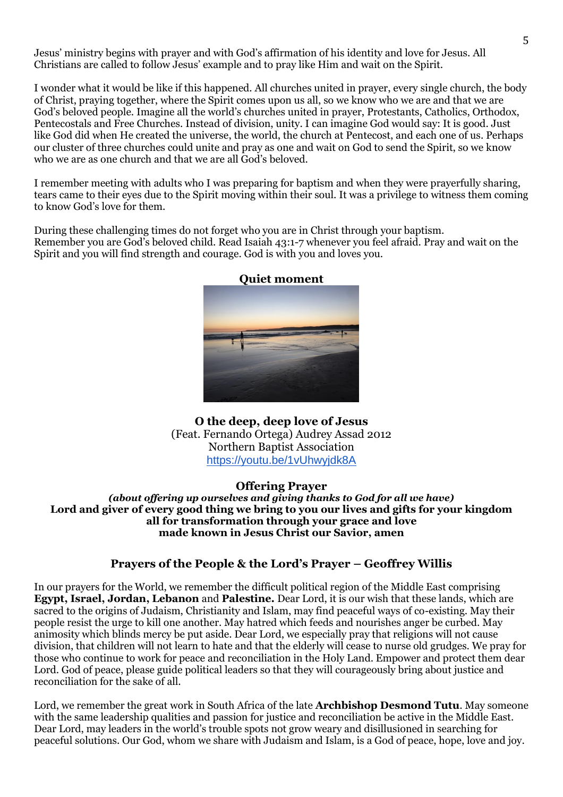Jesus' ministry begins with prayer and with God's affirmation of his identity and love for Jesus. All Christians are called to follow Jesus' example and to pray like Him and wait on the Spirit.

I wonder what it would be like if this happened. All churches united in prayer, every single church, the body of Christ, praying together, where the Spirit comes upon us all, so we know who we are and that we are God's beloved people. Imagine all the world's churches united in prayer, Protestants, Catholics, Orthodox, Pentecostals and Free Churches. Instead of division, unity. I can imagine God would say: It is good. Just like God did when He created the universe, the world, the church at Pentecost, and each one of us. Perhaps our cluster of three churches could unite and pray as one and wait on God to send the Spirit, so we know who we are as one church and that we are all God's beloved.

I remember meeting with adults who I was preparing for baptism and when they were prayerfully sharing, tears came to their eyes due to the Spirit moving within their soul. It was a privilege to witness them coming to know God's love for them.

During these challenging times do not forget who you are in Christ through your baptism. Remember you are God's beloved child. Read Isaiah 43:1-7 whenever you feel afraid. Pray and wait on the Spirit and you will find strength and courage. God is with you and loves you.





**O the deep, deep love of Jesus** (Feat. Fernando Ortega) Audrey Assad 2012 Northern Baptist Association <https://youtu.be/1vUhwyjdk8A>

## **Offering Prayer**

*(about offering up ourselves and giving thanks to God for all we have)* **Lord and giver of every good thing we bring to you our lives and gifts for your kingdom all for transformation through your grace and love made known in Jesus Christ our Savior, amen**

## **Prayers of the People & the Lord's Prayer – Geoffrey Willis**

In our prayers for the World, we remember the difficult political region of the Middle East comprising **Egypt, Israel, Jordan, Lebanon** and **Palestine.** Dear Lord, it is our wish that these lands, which are sacred to the origins of Judaism, Christianity and Islam, may find peaceful ways of co-existing. May their people resist the urge to kill one another. May hatred which feeds and nourishes anger be curbed. May animosity which blinds mercy be put aside. Dear Lord, we especially pray that religions will not cause division, that children will not learn to hate and that the elderly will cease to nurse old grudges. We pray for those who continue to work for peace and reconciliation in the Holy Land. Empower and protect them dear Lord. God of peace, please guide political leaders so that they will courageously bring about justice and reconciliation for the sake of all.

Lord, we remember the great work in South Africa of the late **Archbishop Desmond Tutu**. May someone with the same leadership qualities and passion for justice and reconciliation be active in the Middle East. Dear Lord, may leaders in the world's trouble spots not grow weary and disillusioned in searching for peaceful solutions. Our God, whom we share with Judaism and Islam, is a God of peace, hope, love and joy.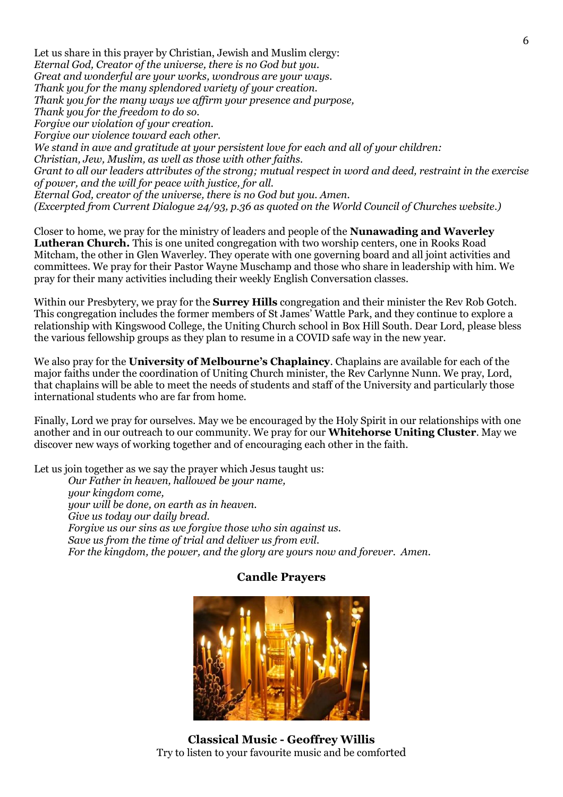Let us share in this prayer by Christian, Jewish and Muslim clergy: *Eternal God, Creator of the universe, there is no God but you. Great and wonderful are your works, wondrous are your ways. Thank you for the many splendored variety of your creation. Thank you for the many ways we affirm your presence and purpose, Thank you for the freedom to do so. Forgive our violation of your creation. Forgive our violence toward each other. We stand in awe and gratitude at your persistent love for each and all of your children: Christian, Jew, Muslim, as well as those with other faiths. Grant to all our leaders attributes of the strong; mutual respect in word and deed, restraint in the exercise of power, and the will for peace with justice, for all. Eternal God, creator of the universe, there is no God but you. Amen. (Excerpted from Current Dialogue 24/93, p.36 as quoted on the World Council of Churches website.)*

Closer to home, we pray for the ministry of leaders and people of the **Nunawading and Waverley Lutheran Church.** This is one united congregation with two worship centers, one in Rooks Road Mitcham, the other in Glen Waverley. They operate with one governing board and all joint activities and committees. We pray for their Pastor Wayne Muschamp and those who share in leadership with him. We pray for their many activities including their weekly English Conversation classes.

Within our Presbytery, we pray for the **Surrey Hills** congregation and their minister the Rev Rob Gotch. This congregation includes the former members of St James' Wattle Park, and they continue to explore a relationship with Kingswood College, the Uniting Church school in Box Hill South. Dear Lord, please bless the various fellowship groups as they plan to resume in a COVID safe way in the new year.

We also pray for the **University of Melbourne's Chaplaincy**. Chaplains are available for each of the major faiths under the coordination of Uniting Church minister, the Rev Carlynne Nunn. We pray, Lord, that chaplains will be able to meet the needs of students and staff of the University and particularly those international students who are far from home.

Finally, Lord we pray for ourselves. May we be encouraged by the Holy Spirit in our relationships with one another and in our outreach to our community. We pray for our **Whitehorse Uniting Cluster**. May we discover new ways of working together and of encouraging each other in the faith.

Let us join together as we say the prayer which Jesus taught us:

*Our Father in heaven, hallowed be your name, your kingdom come, your will be done, on earth as in heaven. Give us today our daily bread. Forgive us our sins as we forgive those who sin against us. Save us from the time of trial and deliver us from evil. For the kingdom, the power, and the glory are yours now and forever. Amen.*



#### **Candle Prayers**

**Classical Music - Geoffrey Willis**  Try to listen to your favourite music and be comforted